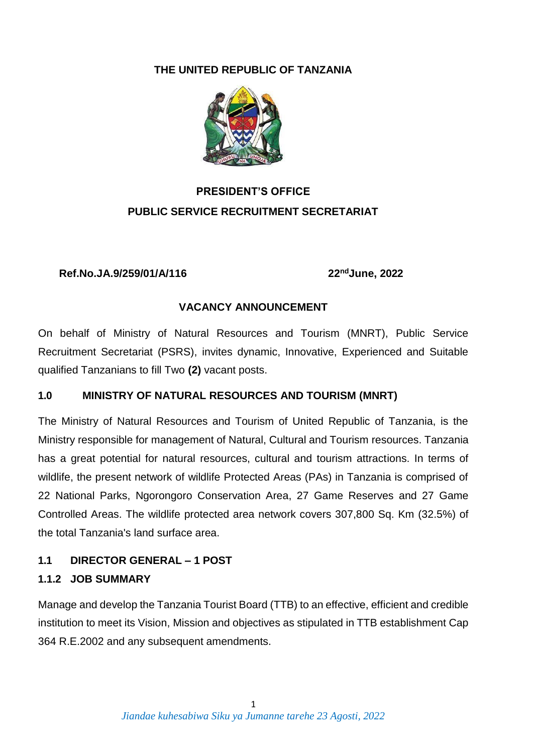#### **THE UNITED REPUBLIC OF TANZANIA**



## **PRESIDENT'S OFFICE PUBLIC SERVICE RECRUITMENT SECRETARIAT**

#### **Ref.No.JA.9/259/01/A/116 22ndJune, 2022**

## **VACANCY ANNOUNCEMENT**

On behalf of Ministry of Natural Resources and Tourism (MNRT), Public Service Recruitment Secretariat (PSRS), invites dynamic, Innovative, Experienced and Suitable qualified Tanzanians to fill Two **(2)** vacant posts.

## **1.0 MINISTRY OF NATURAL RESOURCES AND TOURISM (MNRT)**

The Ministry of Natural Resources and Tourism of United Republic of Tanzania, is the Ministry responsible for management of Natural, Cultural and Tourism resources. Tanzania has a great potential for natural resources, cultural and tourism attractions. In terms of wildlife, the present network of wildlife Protected Areas (PAs) in Tanzania is comprised of 22 National Parks, Ngorongoro Conservation Area, 27 Game Reserves and 27 Game Controlled Areas. The wildlife protected area network covers 307,800 Sq. Km (32.5%) of the total Tanzania's land surface area.

#### **1.1 DIRECTOR GENERAL – 1 POST**

#### **1.1.2 JOB SUMMARY**

Manage and develop the Tanzania Tourist Board (TTB) to an effective, efficient and credible institution to meet its Vision, Mission and objectives as stipulated in TTB establishment Cap 364 R.E.2002 and any subsequent amendments.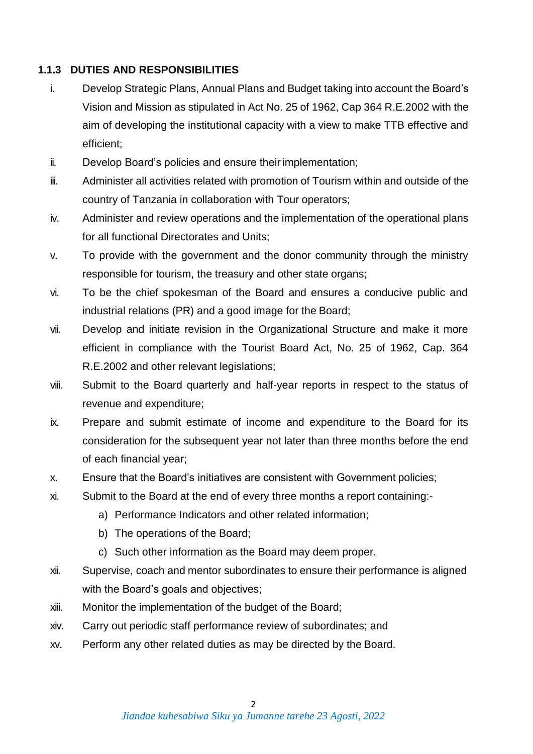#### **1.1.3 DUTIES AND RESPONSIBILITIES**

- i. Develop Strategic Plans, Annual Plans and Budget taking into account the Board's Vision and Mission as stipulated in Act No. 25 of 1962, Cap 364 R.E.2002 with the aim of developing the institutional capacity with a view to make TTB effective and efficient;
- ii. Develop Board's policies and ensure theirimplementation;
- iii. Administer all activities related with promotion of Tourism within and outside of the country of Tanzania in collaboration with Tour operators;
- iv. Administer and review operations and the implementation of the operational plans for all functional Directorates and Units;
- v. To provide with the government and the donor community through the ministry responsible for tourism, the treasury and other state organs;
- vi. To be the chief spokesman of the Board and ensures a conducive public and industrial relations (PR) and a good image for the Board;
- vii. Develop and initiate revision in the Organizational Structure and make it more efficient in compliance with the Tourist Board Act, No. 25 of 1962, Cap. 364 R.E.2002 and other relevant legislations;
- viii. Submit to the Board quarterly and half-year reports in respect to the status of revenue and expenditure;
- ix. Prepare and submit estimate of income and expenditure to the Board for its consideration for the subsequent year not later than three months before the end of each financial year;
- x. Ensure that the Board's initiatives are consistent with Government policies;
- xi. Submit to the Board at the end of every three months a report containing:
	- a) Performance Indicators and other related information;
	- b) The operations of the Board;
	- c) Such other information as the Board may deem proper.
- xii. Supervise, coach and mentor subordinates to ensure their performance is aligned with the Board's goals and objectives;
- xiii. Monitor the implementation of the budget of the Board;
- xiv. Carry out periodic staff performance review of subordinates; and
- xv. Perform any other related duties as may be directed by the Board.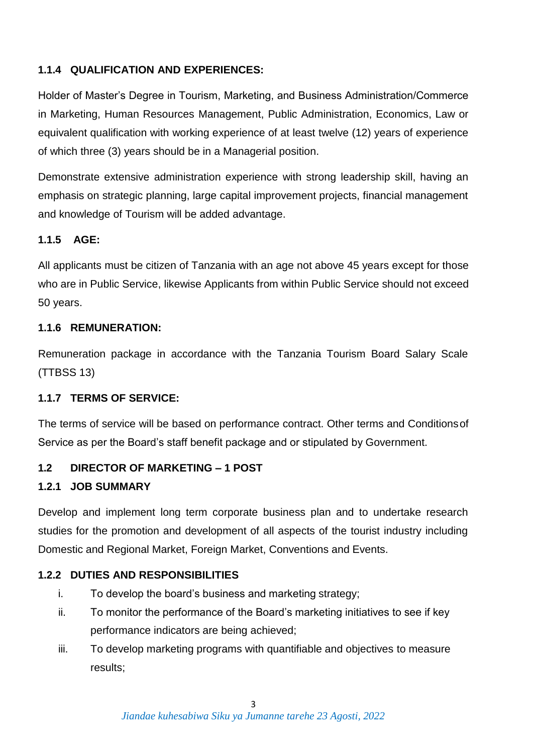## **1.1.4 QUALIFICATION AND EXPERIENCES:**

Holder of Master's Degree in Tourism, Marketing, and Business Administration/Commerce in Marketing, Human Resources Management, Public Administration, Economics, Law or equivalent qualification with working experience of at least twelve (12) years of experience of which three (3) years should be in a Managerial position.

Demonstrate extensive administration experience with strong leadership skill, having an emphasis on strategic planning, large capital improvement projects, financial management and knowledge of Tourism will be added advantage.

## **1.1.5 AGE:**

All applicants must be citizen of Tanzania with an age not above 45 years except for those who are in Public Service, likewise Applicants from within Public Service should not exceed 50 years.

#### **1.1.6 REMUNERATION:**

Remuneration package in accordance with the Tanzania Tourism Board Salary Scale (TTBSS 13)

#### **1.1.7 TERMS OF SERVICE:**

The terms of service will be based on performance contract. Other terms and Conditionsof Service as per the Board's staff benefit package and or stipulated by Government.

## **1.2 DIRECTOR OF MARKETING – 1 POST**

## **1.2.1 JOB SUMMARY**

Develop and implement long term corporate business plan and to undertake research studies for the promotion and development of all aspects of the tourist industry including Domestic and Regional Market, Foreign Market, Conventions and Events.

## **1.2.2 DUTIES AND RESPONSIBILITIES**

- i. To develop the board's business and marketing strategy;
- ii. To monitor the performance of the Board's marketing initiatives to see if key performance indicators are being achieved;
- iii. To develop marketing programs with quantifiable and objectives to measure results;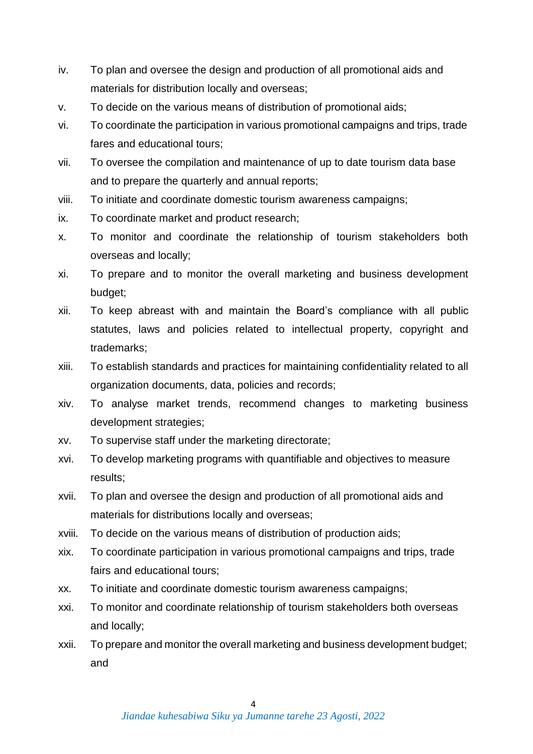- iv. To plan and oversee the design and production of all promotional aids and materials for distribution locally and overseas;
- v. To decide on the various means of distribution of promotional aids;
- vi. To coordinate the participation in various promotional campaigns and trips, trade fares and educational tours;
- vii. To oversee the compilation and maintenance of up to date tourism data base and to prepare the quarterly and annual reports;
- viii. To initiate and coordinate domestic tourism awareness campaigns;
- ix. To coordinate market and product research;
- x. To monitor and coordinate the relationship of tourism stakeholders both overseas and locally;
- xi. To prepare and to monitor the overall marketing and business development budget;
- xii. To keep abreast with and maintain the Board's compliance with all public statutes, laws and policies related to intellectual property, copyright and trademarks;
- xiii. To establish standards and practices for maintaining confidentiality related to all organization documents, data, policies and records;
- xiv. To analyse market trends, recommend changes to marketing business development strategies;
- xv. To supervise staff under the marketing directorate;
- xvi. To develop marketing programs with quantifiable and objectives to measure results;
- xvii. To plan and oversee the design and production of all promotional aids and materials for distributions locally and overseas;
- xviii. To decide on the various means of distribution of production aids;
- xix. To coordinate participation in various promotional campaigns and trips, trade fairs and educational tours;
- xx. To initiate and coordinate domestic tourism awareness campaigns;
- xxi. To monitor and coordinate relationship of tourism stakeholders both overseas and locally;
- xxii. To prepare and monitor the overall marketing and business development budget; and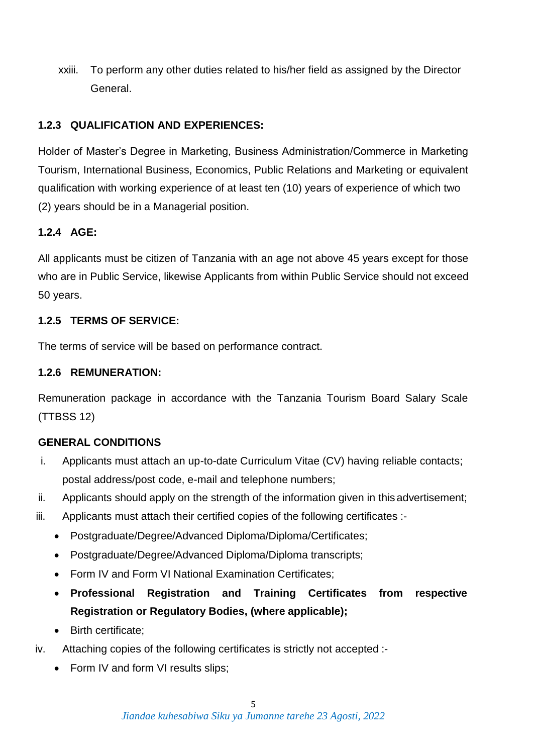xxiii. To perform any other duties related to his/her field as assigned by the Director General.

## **1.2.3 QUALIFICATION AND EXPERIENCES:**

Holder of Master's Degree in Marketing, Business Administration/Commerce in Marketing Tourism, International Business, Economics, Public Relations and Marketing or equivalent qualification with working experience of at least ten (10) years of experience of which two (2) years should be in a Managerial position.

## **1.2.4 AGE:**

All applicants must be citizen of Tanzania with an age not above 45 years except for those who are in Public Service, likewise Applicants from within Public Service should not exceed 50 years.

## **1.2.5 TERMS OF SERVICE:**

The terms of service will be based on performance contract.

## **1.2.6 REMUNERATION:**

Remuneration package in accordance with the Tanzania Tourism Board Salary Scale (TTBSS 12)

## **GENERAL CONDITIONS**

- i. Applicants must attach an up-to-date Curriculum Vitae (CV) having reliable contacts; postal address/post code, e-mail and telephone numbers;
- ii. Applicants should apply on the strength of the information given in this advertisement;
- iii. Applicants must attach their certified copies of the following certificates :-
	- Postgraduate/Degree/Advanced Diploma/Diploma/Certificates;
	- Postgraduate/Degree/Advanced Diploma/Diploma transcripts;
	- Form IV and Form VI National Examination Certificates;
	- **Professional Registration and Training Certificates from respective Registration or Regulatory Bodies, (where applicable);**
	- Birth certificate:
- iv. Attaching copies of the following certificates is strictly not accepted :-
	- Form IV and form VI results slips;